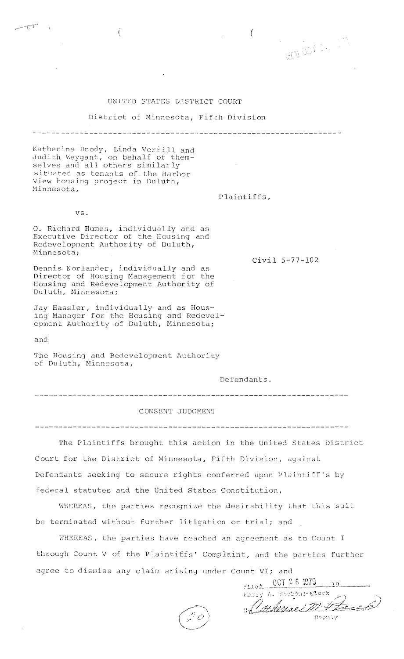## UNITED STATES DISTRICT COURT

District of Minnesota, Fifth Division

Katherine Brody, Linda Verrill and Judith Weygant, on behalf of themselves and all others similarly

Plaintiffs,

Civil 5-77-102

 $\left($ 

vs.

Minnesota,

O. Richard Humes, individually and as Executive Director of the Housing and Redevelopment Authority of Duluth, Minnesota;

situated as tenants of the Harbor<br>View housing project in Duluth,

€

Dennis Norlander, individually and as<br>Director of Housing Management for the Housing and Redevelopment Authority of Duluth, Minnesota;

Jay Hassler, individually and as Hous-<br>ing Manager for the Housing and Redevel-<br>opment Authority of Duluth, Minnesota;

and

**THE** 

The Housing and Redevelopment Authority of Duluth, Minnesota,

Defendants.

## CONSENT JUDGMENT

The Plaintiffs brought this action in the United States District Court for the District of Minnesota, Fifth Division, against Defendants seeking to secure rights conferred upon Plaintiff's by federal statutes and the United States Constitution,

WHEREAS, the parties recognize the desirability that this suit be terminated without further litigation or trial; and

WHEREAS, the parties have reached an agreement as to Count I through Count V of the Plaintiffs' Complaint, and the parties further agree to dismiss any claim arising under Count VI; and

filed 0CT 26 1979 Harry A. Sistem; them Duherine m. Stace .<br>Doout y

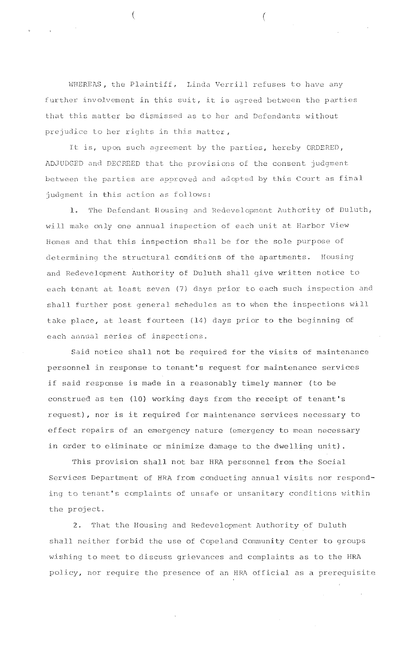WHEREAS, the Plaintiff, Linda Verrill refuses to have any further involvement in this suit, it is agreed between the parties that this matter be dismissed as to her and Defendants without prejudice to her rights in this matter,

It is, upon such agreement by the parties, hereby ORDERED, ADJUDGED and DECREED that the provisions of the consent judgment between the parties are approved and adopted by this Court as final judgment in this action as follows:

1. The Defendant Housing and Redevelopment Authority of Duluth, will make only one annual inspection of each unit at Harbor View Homes and that this inspection shall be for the sole purpose of determining the structural conditions of the apartments. Housing and Redevelopment Authority of Duluth shall give written notice to each tenant at least seven (7) days prior to each such inspection and shall further post general schedules as to when the inspections will take place, at least fourteen (14) days prior to the beginning of each annual series of inspections.

Said notice shall not be required for the visits of maintenance personnel in response to tenant's request for maintenance services if said response is made in a reasonably timely manner (to be construed as ten (10) working days from the receipt of tenant's request), nor is it required for maintenance services necessary to effect repairs of an emergency nature (emergency to mean necessary in order to eliminate or minimize damage to the dwelling unit).

This provision shall not bar HRA personnel from the Social Services Department of HRA from conducting annual visits nor responding to tenant's complaints of unsafe or unsanitary conditions within the project.

 $2.$ That the Housing and Redevelopment Authority of Duluth shall neither forbid the use of Copeland Community Center to groups wishing to meet to discuss grievances and complaints as to the HRA policy, nor require the presence of an HRA official as a prerequisite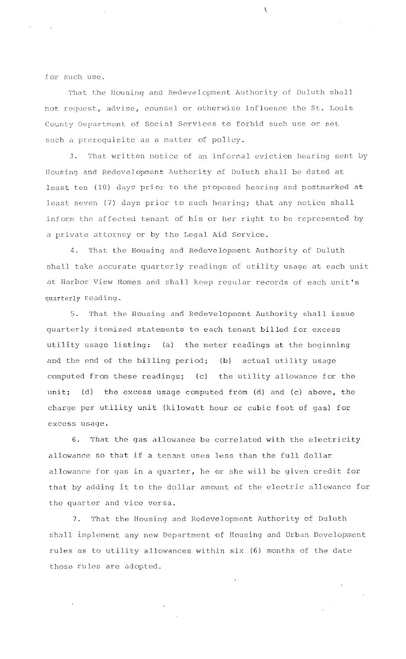for such use.

That the Housing and Redevelopment Authority of Duluth shall not request, advise, counsel or otherwise influence the St. Louis County Department of Social Services to forbid such use or set such a prerequisite as a matter of policy.

 $\overline{\mathcal{C}}$ 

3. That written notice of an informal eviction hearing sent by Housing and Redevelopment Authority of Duluth shall be dated at least ten (10) days prior to the proposed hearing and postmarked at least seven (7) days prior to such hearing; that any notice shall inform the affected tenant of his or her right to be represented by a private attorney or by the Legal Aid Service.

4. That the Housing and Redevelopment Authority of Duluth shall take accurate quarterly readings of utility usage at each unit at Harbor View Homes and shall keep regular records of each unit's quarterly reading.

5. That the Housing and Redevelopment Authority shall issue quarterly itemized statements to each tenant billed for excess utility usage listing: (a) the meter readings at the beginning and the end of the billing period; (b) actual utility usage computed from these readings; (c) the utility allowance for the unit; (d) the excess usage computed from (d) and (c) above, the charge per utility unit (kilowatt hour or cubic foot of gas) for excess usage.

6. That the gas allowance be correlated with the electricity allowance so that if a tenant uses less than the full dollar allowance for gas in a quarter, he or she will be given credit for that by adding it to the dollar amount of the electric allowance for the quarter and vice versa.

That the Housing and Redevelopment Authority of Duluth  $7.$ shall implement any new Department of Housing and Urban Development rules as to utility allowances within six (6) months of the date those rules are adopted.